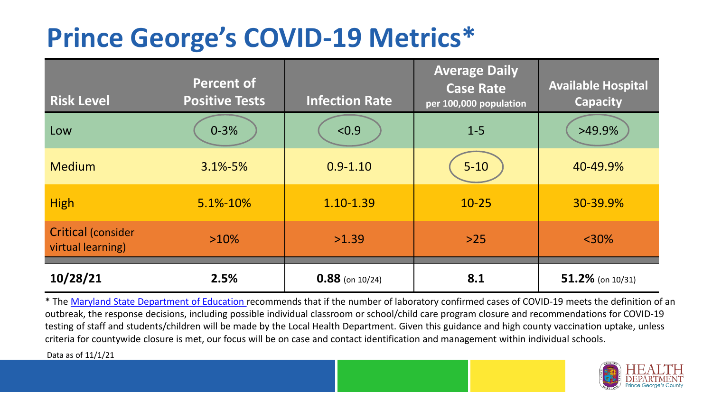## **Prince George's COVID-19 Metrics\***

| <b>Risk Level</b>                              | <b>Percent of</b><br><b>Positive Tests</b> | <b>Infection Rate</b> | <b>Average Daily</b><br><b>Case Rate</b><br>per 100,000 population | <b>Available Hospital</b><br><b>Capacity</b> |
|------------------------------------------------|--------------------------------------------|-----------------------|--------------------------------------------------------------------|----------------------------------------------|
| Low                                            | $0 - 3%$                                   | < 0.9                 | $1 - 5$                                                            | $>49.9\%$                                    |
| <b>Medium</b>                                  | $3.1\% - 5\%$                              | $0.9 - 1.10$          | $5 - 10$                                                           | 40-49.9%                                     |
| <b>High</b>                                    | 5.1%-10%                                   | 1.10-1.39             | $10 - 25$                                                          | 30-39.9%                                     |
| <b>Critical (consider</b><br>virtual learning) | $>10\%$                                    | >1.39                 | $>25$                                                              | $<$ 30%                                      |
| 10/28/21                                       | 2.5%                                       | $0.88$ (on 10/24)     | 8.1                                                                | $51.2\%$ (on 10/31)                          |

\* The [Maryland State Department of Education r](https://earlychildhood.marylandpublicschools.org/system/files/filedepot/3/covid_guidance_full_080420.pdf)ecommends that if the number of laboratory confirmed cases of COVID-19 meets the definition of an outbreak, the response decisions, including possible individual classroom or school/child care program closure and recommendations for COVID-19 testing of staff and students/children will be made by the Local Health Department. Given this guidance and high county vaccination uptake, unless criteria for countywide closure is met, our focus will be on case and contact identification and management within individual schools.

Data as of 11/1/21

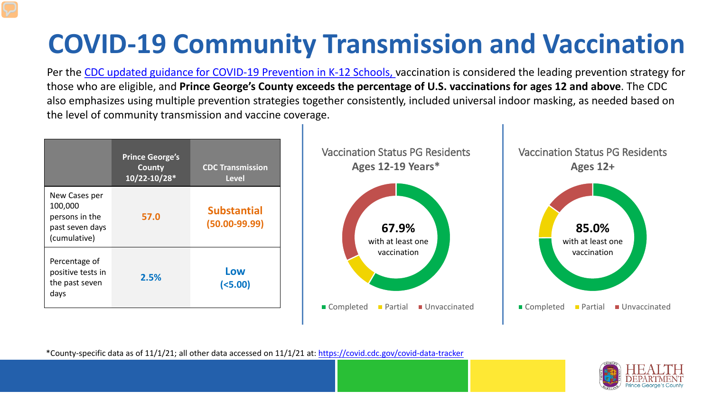# **COVID-19 Community Transmission and Vaccination**

Per the [CDC updated guidance for COVID-19 Prevention in K-12 Schools,](https://www.cdc.gov/coronavirus/2019-ncov/community/schools-childcare/k-12-guidance.html) vaccination is considered the leading prevention strategy for those who are eligible, and **Prince George's County exceeds the percentage of U.S. vaccinations for ages 12 and above**. The CDC also emphasizes using multiple prevention strategies together consistently, included universal indoor masking, as needed based on the level of community transmission and vaccine coverage.



\*County-specific data as of 11/1/21; all other data accessed on 11/1/21 at:<https://covid.cdc.gov/covid-data-tracker>

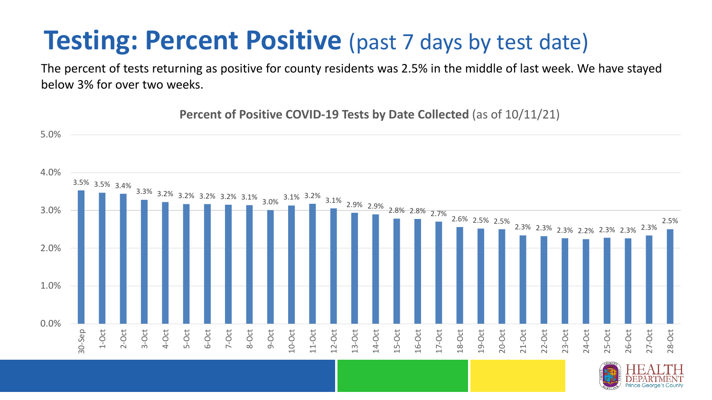### **Testing: Percent Positive** (past 7 days by test date)

The percent of tests returning as positive for county residents was 2.5% in the middle of last week. We have stayed below 3% for over two weeks.

3.5% 3.5% 3.4%  $3.3\%$  3.2% 3.2% 3.2% 3.1% 3.0%  $3.1\%$  3.2% 3.1% 2.9% 2.9% 2.8% 2.8% 2.7% 2.6% 2.5% 2.5% 2.3% 2.3% 2.3% 2.2% 2.3% 2.3% 2.3% 2.5% 0.0% 1.0% 2.0% 3.0% 4.0% 5.0% 30-Sep 1-Oct 2-Oct 3-Oct 4-Oct 5-Oct 6-Oct 7-Oct 8-Oct 9-Oct 10-Oct 11-Oct 12-Oct 13-Oct 14-Oct 15-Oct 16-Oct 17-Oct 18-Oct 19-Oct 20-Oct 21-Oct 22-Oct 23-Oct 24-Oct 25-Oct 26-Oct 27-Oct 28-Oct

**Percent of Positive COVID-19 Tests by Date Collected** (as of 10/11/21)

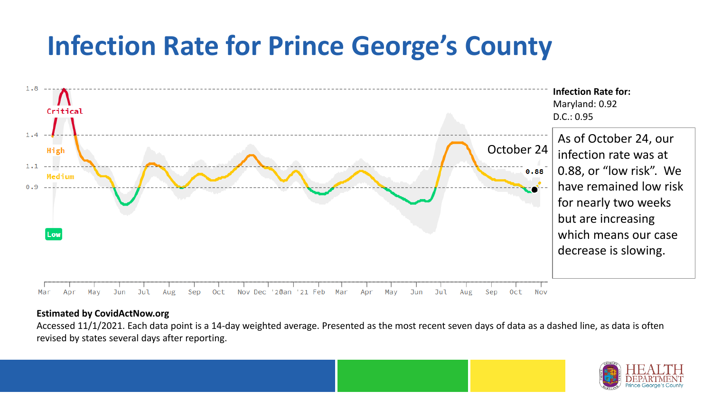## **Infection Rate for Prince George's County**



#### **Estimated by CovidActNow.org**

Accessed 11/1/2021. Each data point is a 14-day weighted average. Presented as the most recent seven days of data as a dashed line, as data is often revised by states several days after reporting.

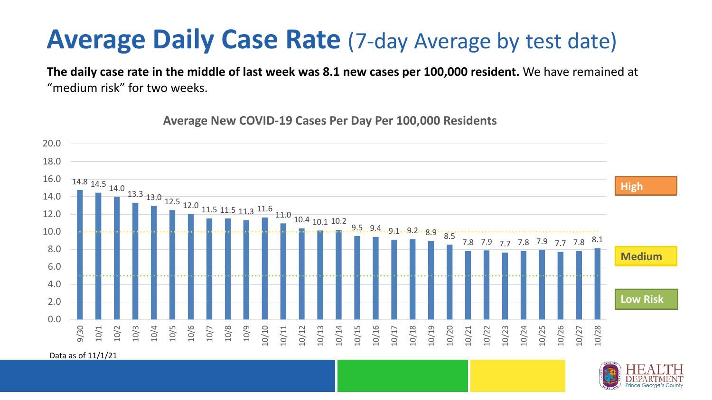### **Average Daily Case Rate** (7-day Average by test date)

**The daily case rate in the middle of last week was 8.1 new cases per 100,000 resident.** We have remained at "medium risk" for two weeks.



**Average New COVID-19 Cases Per Day Per 100,000 Residents**

Data as of 11/1/21